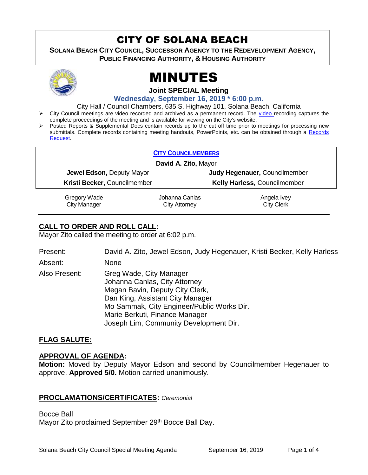## CITY OF SOLANA BEACH

**SOLANA BEACH CITY COUNCIL, SUCCESSOR AGENCY TO THE REDEVELOPMENT AGENCY, PUBLIC FINANCING AUTHORITY, & HOUSING AUTHORITY** 



# MINUTES

**Joint SPECIAL Meeting**

**Wednesday, September 16, 2019 \* 6:00 p.m.** 

City Hall / Council Chambers, 635 S. Highway 101, Solana Beach, California

- ▶ City Council meetings are [video r](https://solanabeach.12milesout.com/#page=1)ecorded and archived as a permanent record. The video recording captures the complete proceedings of the meeting and is available for viewing on the City's website.
- Posted Reports & Supplemental Docs contain records up to the cut off time prior to meetings for processing new submittals. Complete records containing meeting handouts, PowerPoints, etc. can be obtained through a Records [Request.](http://www.ci.solana-beach.ca.us/index.asp?SEC=F5D45D10-70CE-4291-A27C-7BD633FC6742&Type=B_BASIC)

|                              | <b>CITY COUNCILMEMBERS</b> |                               |  |
|------------------------------|----------------------------|-------------------------------|--|
| David A. Zito, Mayor         |                            |                               |  |
| Jewel Edson, Deputy Mayor    |                            | Judy Hegenauer, Councilmember |  |
| Kristi Becker, Councilmember |                            | Kelly Harless, Councilmember  |  |
| Gregory Wade                 | Johanna Canlas             | Angela Ivey                   |  |
| <b>City Manager</b>          | <b>City Attorney</b>       | <b>City Clerk</b>             |  |

## **CALL TO ORDER AND ROLL CALL:**

Mayor Zito called the meeting to order at 6:02 p.m.

| Present:      | David A. Zito, Jewel Edson, Judy Hegenauer, Kristi Becker, Kelly Harless                                                                                                                                                                                  |
|---------------|-----------------------------------------------------------------------------------------------------------------------------------------------------------------------------------------------------------------------------------------------------------|
| Absent:       | None                                                                                                                                                                                                                                                      |
| Also Present: | Greg Wade, City Manager<br>Johanna Canlas, City Attorney<br>Megan Bavin, Deputy City Clerk,<br>Dan King, Assistant City Manager<br>Mo Sammak, City Engineer/Public Works Dir.<br>Marie Berkuti, Finance Manager<br>Joseph Lim, Community Development Dir. |

## **FLAG SALUTE:**

#### **APPROVAL OF AGENDA:**

**Motion:** Moved by Deputy Mayor Edson and second by Councilmember Hegenauer to approve. **Approved 5/0.** Motion carried unanimously.

#### **PROCLAMATIONS/CERTIFICATES:** *Ceremonial*

Bocce Ball Mayor Zito proclaimed September 29<sup>th</sup> Bocce Ball Day.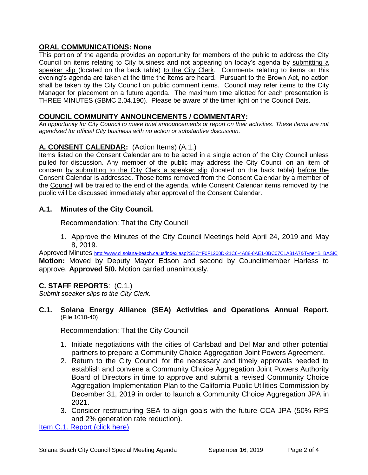## **ORAL COMMUNICATIONS: None**

This portion of the agenda provides an opportunity for members of the public to address the City Council on items relating to City business and not appearing on today's agenda by submitting a speaker slip (located on the back table) to the City Clerk. Comments relating to items on this evening's agenda are taken at the time the items are heard. Pursuant to the Brown Act, no action shall be taken by the City Council on public comment items. Council may refer items to the City Manager for placement on a future agenda. The maximum time allotted for each presentation is THREE MINUTES (SBMC 2.04.190). Please be aware of the timer light on the Council Dais.

## **COUNCIL COMMUNITY ANNOUNCEMENTS / COMMENTARY:**

*An opportunity for City Council to make brief announcements or report on their activities. These items are not agendized for official City business with no action or substantive discussion.* 

## **A. CONSENT CALENDAR:** (Action Items) (A.1.)

Items listed on the Consent Calendar are to be acted in a single action of the City Council unless pulled for discussion. Any member of the public may address the City Council on an item of concern by submitting to the City Clerk a speaker slip (located on the back table) before the Consent Calendar is addressed. Those items removed from the Consent Calendar by a member of the Council will be trailed to the end of the agenda, while Consent Calendar items removed by the public will be discussed immediately after approval of the Consent Calendar.

## **A.1. Minutes of the City Council.**

Recommendation: That the City Council

1. Approve the Minutes of the City Council Meetings held April 24, 2019 and May 8, 2019.

Approved Minutes [http://www.ci.solana-beach.ca.us/index.asp?SEC=F0F1200D-21C6-4A88-8AE1-0BC07C1A81A7&Type=B\\_BASIC](http://www.ci.solana-beach.ca.us/index.asp?SEC=F0F1200D-21C6-4A88-8AE1-0BC07C1A81A7&Type=B_BASIC) **Motion:** Moved by Deputy Mayor Edson and second by Councilmember Harless to approve. **Approved 5/0.** Motion carried unanimously.

## **C. STAFF REPORTS**: (C.1.)

*Submit speaker slips to the City Clerk.*

### **C.1. Solana Energy Alliance (SEA) Activities and Operations Annual Report.** (File 1010-40)

Recommendation: That the City Council

- 1. Initiate negotiations with the cities of Carlsbad and Del Mar and other potential partners to prepare a Community Choice Aggregation Joint Powers Agreement.
- 2. Return to the City Council for the necessary and timely approvals needed to establish and convene a Community Choice Aggregation Joint Powers Authority Board of Directors in time to approve and submit a revised Community Choice Aggregation Implementation Plan to the California Public Utilities Commission by December 31, 2019 in order to launch a Community Choice Aggregation JPA in 2021.
- 3. Consider restructuring SEA to align goals with the future CCA JPA (50% RPS and 2% generation rate reduction).

[Item C.1. Report \(click here\)](https://solanabeach.govoffice3.com/vertical/Sites/%7B840804C2-F869-4904-9AE3-720581350CE7%7D/uploads/Item_C.1._(click_here)_-_O.pdf)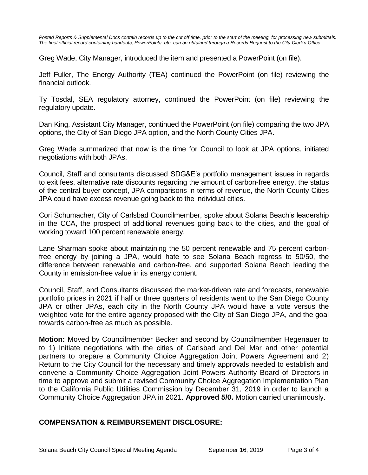*Posted Reports & Supplemental Docs contain records up to the cut off time, prior to the start of the meeting, for processing new submittals. The final official record containing handouts, PowerPoints, etc. can be obtained through a Records Request to the City Clerk's Office.*

Greg Wade, City Manager, introduced the item and presented a PowerPoint (on file).

Jeff Fuller, The Energy Authority (TEA) continued the PowerPoint (on file) reviewing the financial outlook.

Ty Tosdal, SEA regulatory attorney, continued the PowerPoint (on file) reviewing the regulatory update.

Dan King, Assistant City Manager, continued the PowerPoint (on file) comparing the two JPA options, the City of San Diego JPA option, and the North County Cities JPA.

Greg Wade summarized that now is the time for Council to look at JPA options, initiated negotiations with both JPAs.

Council, Staff and consultants discussed SDG&E's portfolio management issues in regards to exit fees, alternative rate discounts regarding the amount of carbon-free energy, the status of the central buyer concept, JPA comparisons in terms of revenue, the North County Cities JPA could have excess revenue going back to the individual cities.

Cori Schumacher, City of Carlsbad Councilmember, spoke about Solana Beach's leadership in the CCA, the prospect of additional revenues going back to the cities, and the goal of working toward 100 percent renewable energy.

Lane Sharman spoke about maintaining the 50 percent renewable and 75 percent carbonfree energy by joining a JPA, would hate to see Solana Beach regress to 50/50, the difference between renewable and carbon-free, and supported Solana Beach leading the County in emission-free value in its energy content.

Council, Staff, and Consultants discussed the market-driven rate and forecasts, renewable portfolio prices in 2021 if half or three quarters of residents went to the San Diego County JPA or other JPAs, each city in the North County JPA would have a vote versus the weighted vote for the entire agency proposed with the City of San Diego JPA, and the goal towards carbon-free as much as possible.

**Motion:** Moved by Councilmember Becker and second by Councilmember Hegenauer to to 1) Initiate negotiations with the cities of Carlsbad and Del Mar and other potential partners to prepare a Community Choice Aggregation Joint Powers Agreement and 2) Return to the City Council for the necessary and timely approvals needed to establish and convene a Community Choice Aggregation Joint Powers Authority Board of Directors in time to approve and submit a revised Community Choice Aggregation Implementation Plan to the California Public Utilities Commission by December 31, 2019 in order to launch a Community Choice Aggregation JPA in 2021. **Approved 5/0.** Motion carried unanimously.

## **COMPENSATION & REIMBURSEMENT DISCLOSURE:**